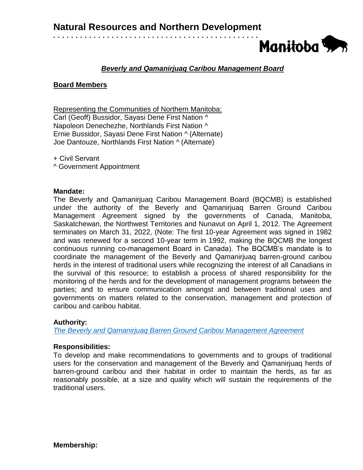

# *Beverly and Qamanirjuaq Caribou Management Board*

### **Board Members**

Representing the Communities of Northern Manitoba: Carl (Geoff) Bussidor, Sayasi Dene First Nation ^ Napoleon Denechezhe, Northlands First Nation ^ Ernie Bussidor, Sayasi Dene First Nation ^ (Alternate) Joe Dantouze, Northlands First Nation ^ (Alternate)

+ Civil Servant

^ Government Appointment

#### **Mandate:**

The Beverly and Qamanirjuaq Caribou Management Board (BQCMB) is established under the authority of the Beverly and Qamanirjuaq Barren Ground Caribou Management Agreement signed by the governments of Canada, Manitoba, Saskatchewan, the Northwest Territories and Nunavut on April 1, 2012. The Agreement terminates on March 31, 2022, (Note: The first 10-year Agreement was signed in 1982 and was renewed for a second 10-year term in 1992, making the BQCMB the longest continuous running co-management Board in Canada). The BQCMB's mandate is to coordinate the management of the Beverly and Qamanirjuaq barren-ground caribou herds in the interest of traditional users while recognizing the interest of all Canadians in the survival of this resource; to establish a process of shared responsibility for the monitoring of the herds and for the development of management programs between the parties; and to ensure communication amongst and between traditional uses and governments on matters related to the conservation, management and protection of caribou and caribou habitat.

### **Authority:**

*[The Beverly and Qamanirjuaq Barren Ground Caribou Management Agreement](http://arctic-caribou.com/pdf/Current_Agreement.pdf)*

### **Responsibilities:**

To develop and make recommendations to governments and to groups of traditional users for the conservation and management of the Beverly and Qamanirjuaq herds of barren-ground caribou and their habitat in order to maintain the herds, as far as reasonably possible, at a size and quality which will sustain the requirements of the traditional users.